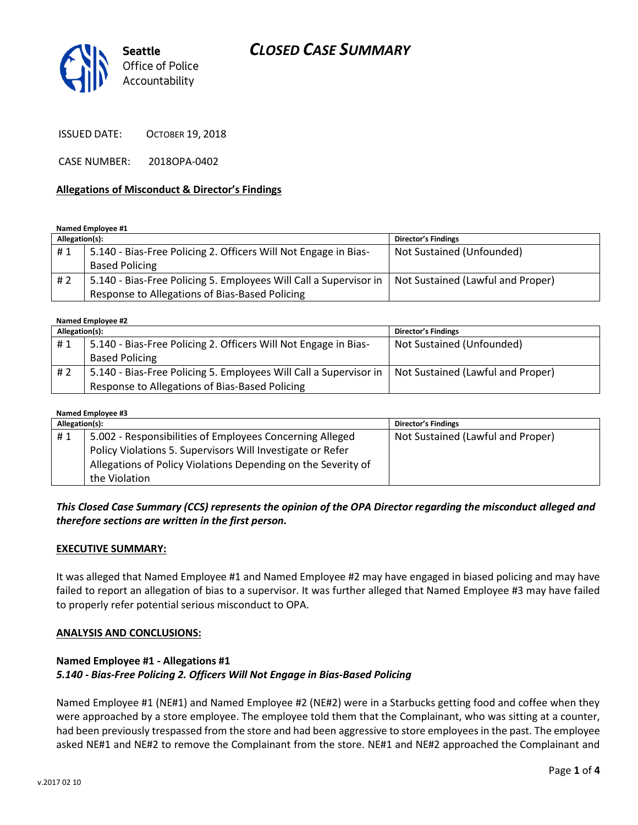## *CLOSED CASE SUMMARY*



ISSUED DATE: OCTOBER 19, 2018

CASE NUMBER: 2018OPA-0402

#### **Allegations of Misconduct & Director's Findings**

**Named Employee #1**

| Allegation(s): |                                                                   | <b>Director's Findings</b>        |
|----------------|-------------------------------------------------------------------|-----------------------------------|
| #1             | 5.140 - Bias-Free Policing 2. Officers Will Not Engage in Bias-   | Not Sustained (Unfounded)         |
|                | <b>Based Policing</b>                                             |                                   |
| # 2            | 5.140 - Bias-Free Policing 5. Employees Will Call a Supervisor in | Not Sustained (Lawful and Proper) |
|                | Response to Allegations of Bias-Based Policing                    |                                   |

**Named Employee #2**

| Allegation(s): |                                                                   | <b>Director's Findings</b>        |
|----------------|-------------------------------------------------------------------|-----------------------------------|
| #1             | 5.140 - Bias-Free Policing 2. Officers Will Not Engage in Bias-   | Not Sustained (Unfounded)         |
|                | <b>Based Policing</b>                                             |                                   |
| # 2            | 5.140 - Bias-Free Policing 5. Employees Will Call a Supervisor in | Not Sustained (Lawful and Proper) |
|                | Response to Allegations of Bias-Based Policing                    |                                   |

| Named Employee #3 |                                                               |                                   |  |  |
|-------------------|---------------------------------------------------------------|-----------------------------------|--|--|
| Allegation(s):    |                                                               | <b>Director's Findings</b>        |  |  |
| #1                | 5.002 - Responsibilities of Employees Concerning Alleged      | Not Sustained (Lawful and Proper) |  |  |
|                   | Policy Violations 5. Supervisors Will Investigate or Refer    |                                   |  |  |
|                   | Allegations of Policy Violations Depending on the Severity of |                                   |  |  |
|                   | the Violation                                                 |                                   |  |  |

### *This Closed Case Summary (CCS) represents the opinion of the OPA Director regarding the misconduct alleged and therefore sections are written in the first person.*

#### **EXECUTIVE SUMMARY:**

It was alleged that Named Employee #1 and Named Employee #2 may have engaged in biased policing and may have failed to report an allegation of bias to a supervisor. It was further alleged that Named Employee #3 may have failed to properly refer potential serious misconduct to OPA.

#### **ANALYSIS AND CONCLUSIONS:**

## **Named Employee #1 - Allegations #1** *5.140 - Bias-Free Policing 2. Officers Will Not Engage in Bias-Based Policing*

Named Employee #1 (NE#1) and Named Employee #2 (NE#2) were in a Starbucks getting food and coffee when they were approached by a store employee. The employee told them that the Complainant, who was sitting at a counter, had been previously trespassed from the store and had been aggressive to store employees in the past. The employee asked NE#1 and NE#2 to remove the Complainant from the store. NE#1 and NE#2 approached the Complainant and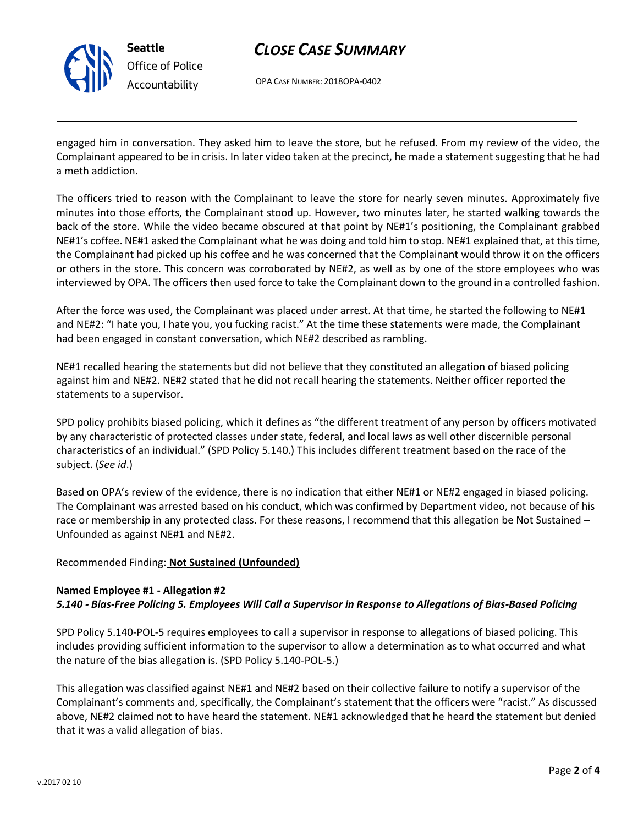

## *CLOSE CASE SUMMARY*

OPA CASE NUMBER: 2018OPA-0402

engaged him in conversation. They asked him to leave the store, but he refused. From my review of the video, the Complainant appeared to be in crisis. In later video taken at the precinct, he made a statement suggesting that he had a meth addiction.

The officers tried to reason with the Complainant to leave the store for nearly seven minutes. Approximately five minutes into those efforts, the Complainant stood up. However, two minutes later, he started walking towards the back of the store. While the video became obscured at that point by NE#1's positioning, the Complainant grabbed NE#1's coffee. NE#1 asked the Complainant what he was doing and told him to stop. NE#1 explained that, at this time, the Complainant had picked up his coffee and he was concerned that the Complainant would throw it on the officers or others in the store. This concern was corroborated by NE#2, as well as by one of the store employees who was interviewed by OPA. The officers then used force to take the Complainant down to the ground in a controlled fashion.

After the force was used, the Complainant was placed under arrest. At that time, he started the following to NE#1 and NE#2: "I hate you, I hate you, you fucking racist." At the time these statements were made, the Complainant had been engaged in constant conversation, which NE#2 described as rambling.

NE#1 recalled hearing the statements but did not believe that they constituted an allegation of biased policing against him and NE#2. NE#2 stated that he did not recall hearing the statements. Neither officer reported the statements to a supervisor.

SPD policy prohibits biased policing, which it defines as "the different treatment of any person by officers motivated by any characteristic of protected classes under state, federal, and local laws as well other discernible personal characteristics of an individual." (SPD Policy 5.140.) This includes different treatment based on the race of the subject. (*See id*.)

Based on OPA's review of the evidence, there is no indication that either NE#1 or NE#2 engaged in biased policing. The Complainant was arrested based on his conduct, which was confirmed by Department video, not because of his race or membership in any protected class. For these reasons, I recommend that this allegation be Not Sustained -Unfounded as against NE#1 and NE#2.

### Recommended Finding: **Not Sustained (Unfounded)**

## **Named Employee #1 - Allegation #2** *5.140 - Bias-Free Policing 5. Employees Will Call a Supervisor in Response to Allegations of Bias-Based Policing*

SPD Policy 5.140-POL-5 requires employees to call a supervisor in response to allegations of biased policing. This includes providing sufficient information to the supervisor to allow a determination as to what occurred and what the nature of the bias allegation is. (SPD Policy 5.140-POL-5.)

This allegation was classified against NE#1 and NE#2 based on their collective failure to notify a supervisor of the Complainant's comments and, specifically, the Complainant's statement that the officers were "racist." As discussed above, NE#2 claimed not to have heard the statement. NE#1 acknowledged that he heard the statement but denied that it was a valid allegation of bias.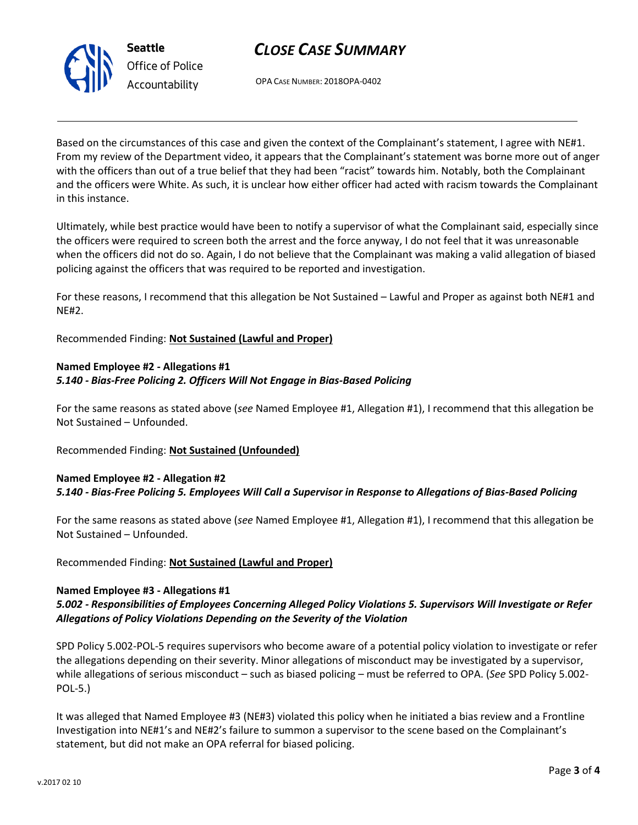

## *CLOSE CASE SUMMARY*

OPA CASE NUMBER: 2018OPA-0402

Based on the circumstances of this case and given the context of the Complainant's statement, I agree with NE#1. From my review of the Department video, it appears that the Complainant's statement was borne more out of anger with the officers than out of a true belief that they had been "racist" towards him. Notably, both the Complainant and the officers were White. As such, it is unclear how either officer had acted with racism towards the Complainant in this instance.

Ultimately, while best practice would have been to notify a supervisor of what the Complainant said, especially since the officers were required to screen both the arrest and the force anyway, I do not feel that it was unreasonable when the officers did not do so. Again, I do not believe that the Complainant was making a valid allegation of biased policing against the officers that was required to be reported and investigation.

For these reasons, I recommend that this allegation be Not Sustained – Lawful and Proper as against both NE#1 and NE#2.

Recommended Finding: **Not Sustained (Lawful and Proper)**

## **Named Employee #2 - Allegations #1** *5.140 - Bias-Free Policing 2. Officers Will Not Engage in Bias-Based Policing*

For the same reasons as stated above (*see* Named Employee #1, Allegation #1), I recommend that this allegation be Not Sustained – Unfounded.

### Recommended Finding: **Not Sustained (Unfounded)**

### **Named Employee #2 - Allegation #2** *5.140 - Bias-Free Policing 5. Employees Will Call a Supervisor in Response to Allegations of Bias-Based Policing*

For the same reasons as stated above (*see* Named Employee #1, Allegation #1), I recommend that this allegation be Not Sustained – Unfounded.

### Recommended Finding: **Not Sustained (Lawful and Proper)**

### **Named Employee #3 - Allegations #1**

### *5.002 - Responsibilities of Employees Concerning Alleged Policy Violations 5. Supervisors Will Investigate or Refer Allegations of Policy Violations Depending on the Severity of the Violation*

SPD Policy 5.002-POL-5 requires supervisors who become aware of a potential policy violation to investigate or refer the allegations depending on their severity. Minor allegations of misconduct may be investigated by a supervisor, while allegations of serious misconduct – such as biased policing – must be referred to OPA. (*See* SPD Policy 5.002- POL-5.)

It was alleged that Named Employee #3 (NE#3) violated this policy when he initiated a bias review and a Frontline Investigation into NE#1's and NE#2's failure to summon a supervisor to the scene based on the Complainant's statement, but did not make an OPA referral for biased policing.